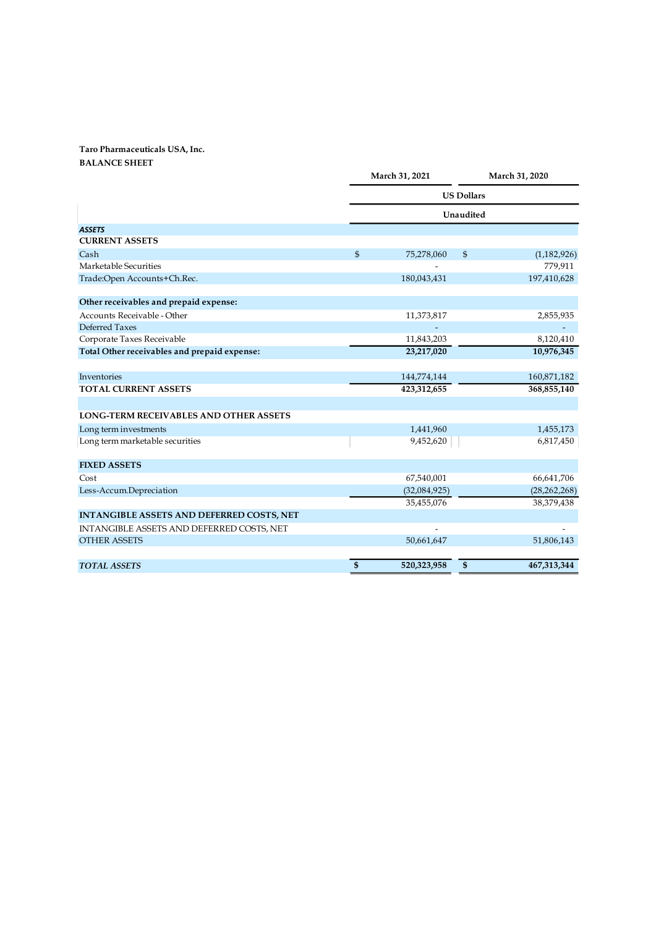## Taro Pharmaceuticals USA, Inc.

| Taro Pharmaceuticals USA, Inc.                       |                   |                          |                         |                        |  |  |
|------------------------------------------------------|-------------------|--------------------------|-------------------------|------------------------|--|--|
| <b>BALANCE SHEET</b>                                 |                   | March 31, 2021           |                         | March 31, 2020         |  |  |
|                                                      |                   |                          |                         |                        |  |  |
|                                                      | <b>US Dollars</b> |                          |                         |                        |  |  |
|                                                      |                   |                          | Unaudited               |                        |  |  |
| <b>ASSETS</b>                                        |                   |                          |                         |                        |  |  |
| <b>CURRENT ASSETS</b>                                |                   |                          |                         |                        |  |  |
| Cash                                                 | $\mathfrak{S}$    | 75,278,060               | $\frac{1}{2}$           | (1,182,926)            |  |  |
| Marketable Securities<br>Trade:Open Accounts+Ch.Rec. |                   | 180,043,431              |                         | 779,911<br>197,410,628 |  |  |
|                                                      |                   |                          |                         |                        |  |  |
| Other receivables and prepaid expense:               |                   |                          |                         |                        |  |  |
| Accounts Receivable - Other                          |                   | 11,373,817               |                         | 2,855,935              |  |  |
| Deferred Taxes                                       |                   | $\sim$                   |                         | $\sim$                 |  |  |
| Corporate Taxes Receivable                           |                   | 11,843,203               |                         | 8,120,410              |  |  |
| Total Other receivables and prepaid expense:         |                   | 23,217,020               |                         | 10,976,345             |  |  |
| Inventories                                          |                   | 144,774,144              |                         | 160,871,182            |  |  |
| TOTAL CURRENT ASSETS                                 |                   | 423,312,655              |                         | 368,855,140            |  |  |
|                                                      |                   |                          |                         |                        |  |  |
| LONG-TERM RECEIVABLES AND OTHER ASSETS               |                   |                          |                         |                        |  |  |
| Long term investments                                |                   | 1,441,960                |                         | 1,455,173              |  |  |
| Long term marketable securities                      |                   | 9,452,620                |                         | 6,817,450              |  |  |
|                                                      |                   |                          |                         |                        |  |  |
| <b>FIXED ASSETS</b><br>$\mathsf{Cost}$               |                   | 67,540,001               |                         | 66,641,706             |  |  |
| Less-Accum.Depreciation                              |                   | (32,084,925)             |                         | (28, 262, 268)         |  |  |
|                                                      |                   | 35,455,076               |                         | 38,379,438             |  |  |
| INTANGIBLE ASSETS AND DEFERRED COSTS, NET            |                   |                          |                         |                        |  |  |
| INTANGIBLE ASSETS AND DEFERRED COSTS, NET            |                   | $\overline{\phantom{a}}$ |                         |                        |  |  |
|                                                      |                   |                          |                         |                        |  |  |
| <b>OTHER ASSETS</b>                                  |                   | 50,661,647               |                         | 51,806,143             |  |  |
| TOTAL ASSETS                                         | $\frac{3}{2}$     | 520,323,958              | $\overline{\mathbf{S}}$ | 467,313,344            |  |  |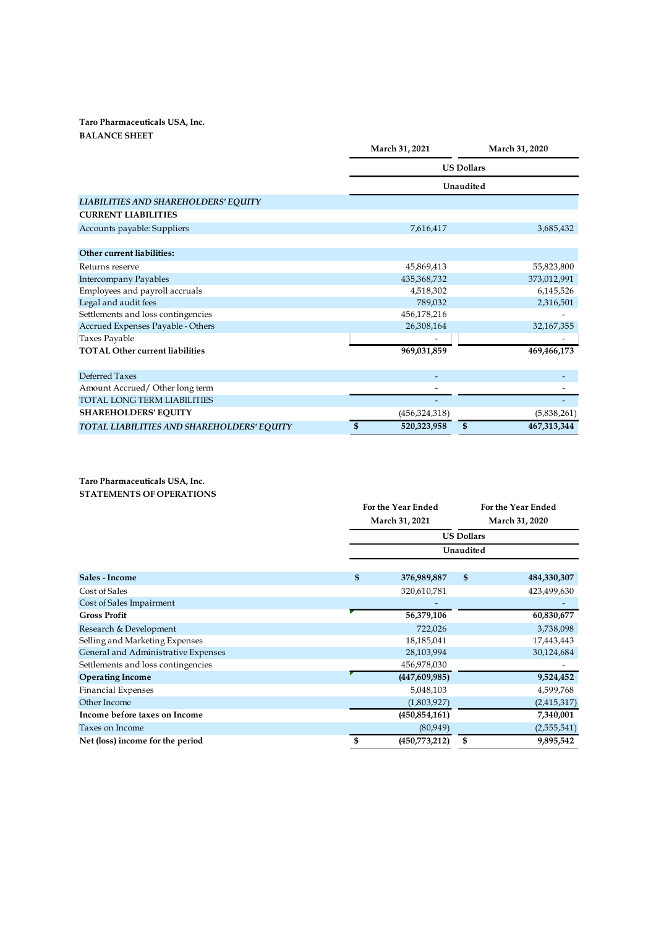## Taro Pharmaceuticals USA, Inc. BALANCE SHEET

| Taro Pharmaceuticals USA, Inc.                                |               |                                                      |                          |                          |  |  |  |  |
|---------------------------------------------------------------|---------------|------------------------------------------------------|--------------------------|--------------------------|--|--|--|--|
| <b>BALANCE SHEET</b>                                          |               |                                                      |                          |                          |  |  |  |  |
|                                                               |               | March 31, 2021                                       |                          | March 31, 2020           |  |  |  |  |
|                                                               |               | <b>US Dollars</b>                                    |                          |                          |  |  |  |  |
|                                                               |               | Unaudited                                            |                          |                          |  |  |  |  |
|                                                               |               |                                                      |                          |                          |  |  |  |  |
| LIABILITIES AND SHAREHOLDERS' EQUITY                          |               |                                                      |                          |                          |  |  |  |  |
| <b>CURRENT LIABILITIES</b>                                    |               |                                                      |                          |                          |  |  |  |  |
| Accounts payable: Suppliers                                   |               | 7,616,417                                            |                          | 3,685,432                |  |  |  |  |
| Other current liabilities:                                    |               |                                                      |                          |                          |  |  |  |  |
|                                                               |               |                                                      |                          |                          |  |  |  |  |
| Returns reserve                                               |               | 45,869,413                                           |                          | 55,823,800               |  |  |  |  |
| Intercompany Payables<br>Employees and payroll accruals       |               | 435, 368, 732<br>4,518,302                           |                          | 373,012,991<br>6,145,526 |  |  |  |  |
| Legal and audit fees                                          |               | 789,032                                              |                          | 2,316,501                |  |  |  |  |
| Settlements and loss contingencies                            |               | 456,178,216                                          |                          | $\overline{\phantom{a}}$ |  |  |  |  |
| Accrued Expenses Payable - Others                             |               | 26,308,164                                           |                          | 32,167,355               |  |  |  |  |
| Taxes Payable                                                 |               |                                                      |                          |                          |  |  |  |  |
| TOTAL Other current liabilities                               |               | 969,031,859                                          |                          | 469,466,173              |  |  |  |  |
|                                                               |               |                                                      |                          |                          |  |  |  |  |
| Deferred Taxes                                                |               | $\sim$                                               |                          | $\overline{\phantom{a}}$ |  |  |  |  |
| Amount Accrued/Other long term<br>TOTAL LONG TERM LIABILITIES |               | $\overline{\phantom{a}}$<br>$\overline{\phantom{a}}$ |                          |                          |  |  |  |  |
| <b>SHAREHOLDERS' EQUITY</b>                                   |               | (456, 324, 318)                                      |                          | (5,838,261)              |  |  |  |  |
| TOTAL LIABILITIES AND SHAREHOLDERS' EQUITY                    | $\frac{1}{2}$ | 520,323,958                                          | $\overline{\mathcal{S}}$ | 467,313,344              |  |  |  |  |
|                                                               |               |                                                      |                          |                          |  |  |  |  |
|                                                               |               |                                                      |                          |                          |  |  |  |  |
|                                                               |               |                                                      |                          |                          |  |  |  |  |
| Taro Pharmaceuticals USA, Inc.                                |               |                                                      |                          |                          |  |  |  |  |
| STATEMENTS OF OPERATIONS                                      |               |                                                      |                          |                          |  |  |  |  |
|                                                               |               | For the Year Ended                                   |                          | For the Year Ended       |  |  |  |  |
|                                                               |               | March 31, 2021                                       |                          | March 31, 2020           |  |  |  |  |
|                                                               |               |                                                      | <b>US Dollars</b>        |                          |  |  |  |  |
|                                                               |               |                                                      | Unaudited                |                          |  |  |  |  |
|                                                               |               |                                                      |                          |                          |  |  |  |  |
| Sales - Income                                                | \$            | 376,989,887                                          | \$                       | 484,330,307              |  |  |  |  |
|                                                               |               |                                                      |                          |                          |  |  |  |  |
| Cost of Sales                                                 |               | 320,610,781                                          |                          | 423,499,630              |  |  |  |  |

|                                                                   | 789,032                  |                   | 2,316,501                |
|-------------------------------------------------------------------|--------------------------|-------------------|--------------------------|
| Settlements and loss contingencies                                | 456,178,216              |                   |                          |
| Accrued Expenses Payable - Others                                 | 26,308,164               |                   | 32,167,355               |
| Taxes Payable                                                     | $\frac{1}{2}$            |                   |                          |
| <b>TOTAL Other current liabilities</b>                            | 969,031,859              |                   | 469,466,173              |
| Deferred Taxes                                                    | $\overline{\phantom{a}}$ |                   | $\blacksquare$           |
| Amount Accrued/Other long term                                    | $\overline{\phantom{a}}$ |                   | $\overline{\phantom{a}}$ |
| TOTAL LONG TERM LIABILITIES                                       |                          |                   |                          |
| SHAREHOLDERS' EQUITY                                              | (456, 324, 318)          |                   | (5,838,261)              |
| TOTAL LIABILITIES AND SHAREHOLDERS' EQUITY                        | \$<br>520,323,958        | $\overline{\$}$   | 467,313,344              |
| Taro Pharmaceuticals USA, Inc.<br><b>STATEMENTS OF OPERATIONS</b> | For the Year Ended       |                   | For the Year Ended       |
|                                                                   | March 31, 2021           |                   | March 31, 2020           |
|                                                                   |                          |                   |                          |
|                                                                   |                          | <b>US Dollars</b> |                          |
|                                                                   |                          | Unaudited         |                          |
| Sales - Income                                                    | \$<br>376,989,887        | $\pmb{\$}$        | 484,330,307              |
| Cost of Sales                                                     | 320,610,781              |                   | 423,499,630              |
| Cost of Sales Impairment                                          |                          |                   |                          |
| <b>Gross Profit</b>                                               | 56,379,106               |                   | 60,830,677               |
| Research & Development                                            | 722,026                  |                   | 3,738,098                |
|                                                                   | 18,185,041               |                   | 17,443,443               |
| Selling and Marketing Expenses                                    |                          |                   |                          |
| General and Administrative Expenses                               | 28,103,994               |                   | 30,124,684               |
| Settlements and loss contingencies                                | 456,978,030              |                   | ۰                        |
| <b>Operating Income</b>                                           | (447,609,985)            |                   | 9,524,452                |
|                                                                   | 5,048,103                |                   | 4,599,768                |
| <b>Financial Expenses</b><br>Other Income                         | (1,803,927)              |                   | (2, 415, 317)            |
| Income before taxes on Income                                     | (450, 854, 161)          |                   | 7,340,001                |
| Taxes on Income                                                   | (80, 949)                |                   | (2,555,541)              |